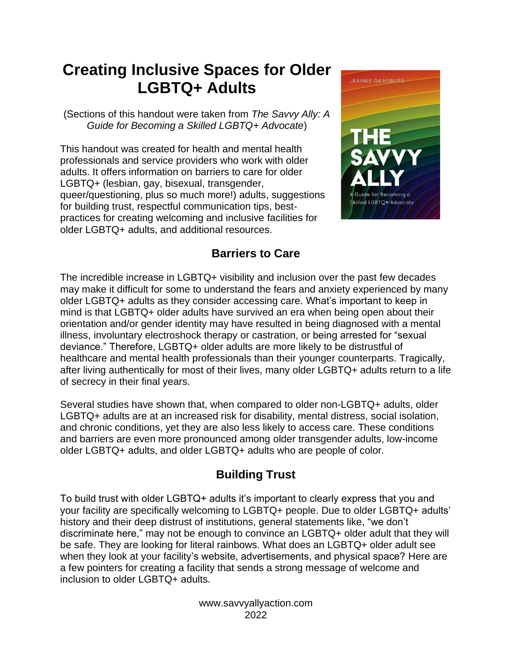# **Creating Inclusive Spaces for Older LGBTQ+ Adults**

(Sections of this handout were taken from *The Savvy Ally: A Guide for Becoming a Skilled LGBTQ+ Advocate*)

This handout was created for health and mental health professionals and service providers who work with older adults. It offers information on barriers to care for older LGBTQ+ (lesbian, gay, bisexual, transgender, queer/questioning, plus so much more!) adults, suggestions for building trust, respectful communication tips, bestpractices for creating welcoming and inclusive facilities for older LGBTQ+ adults, and additional resources.



# **Barriers to Care**

The incredible increase in LGBTQ+ visibility and inclusion over the past few decades may make it difficult for some to understand the fears and anxiety experienced by many older LGBTQ+ adults as they consider accessing care. What's important to keep in mind is that LGBTQ+ older adults have survived an era when being open about their orientation and/or gender identity may have resulted in being diagnosed with a mental illness, involuntary electroshock therapy or castration, or being arrested for "sexual deviance." Therefore, LGBTQ+ older adults are more likely to be distrustful of healthcare and mental health professionals than their younger counterparts. Tragically, after living authentically for most of their lives, many older LGBTQ+ adults return to a life of secrecy in their final years.

Several studies have shown that, when compared to older non-LGBTQ+ adults, older LGBTQ+ adults are at an increased risk for disability, mental distress, social isolation, and chronic conditions, yet they are also less likely to access care. These conditions and barriers are even more pronounced among older transgender adults, low-income older LGBTQ+ adults, and older LGBTQ+ adults who are people of color.

# **Building Trust**

To build trust with older LGBTQ+ adults it's important to clearly express that you and your facility are specifically welcoming to LGBTQ+ people. Due to older LGBTQ+ adults' history and their deep distrust of institutions, general statements like, "we don't discriminate here," may not be enough to convince an LGBTQ+ older adult that they will be safe. They are looking for literal rainbows. What does an LGBTQ+ older adult see when they look at your facility's website, advertisements, and physical space? Here are a few pointers for creating a facility that sends a strong message of welcome and inclusion to older LGBTQ+ adults.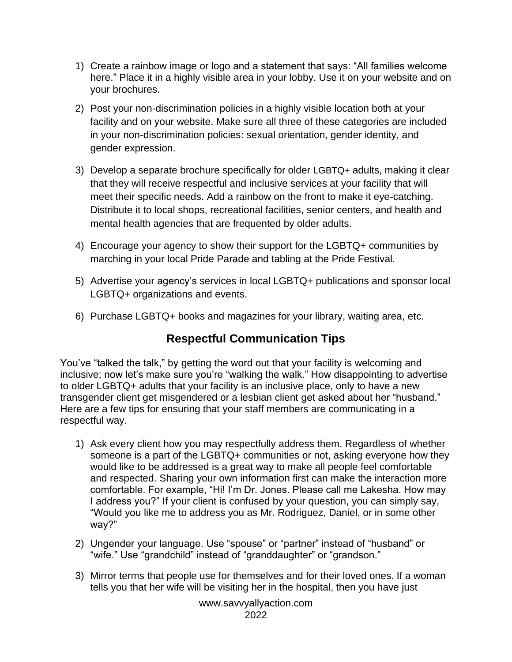- 1) Create a rainbow image or logo and a statement that says: "All families welcome here." Place it in a highly visible area in your lobby. Use it on your website and on your brochures.
- 2) Post your non-discrimination policies in a highly visible location both at your facility and on your website. Make sure all three of these categories are included in your non-discrimination policies: sexual orientation, gender identity, and gender expression.
- 3) Develop a separate brochure specifically for older LGBTQ+ adults, making it clear that they will receive respectful and inclusive services at your facility that will meet their specific needs. Add a rainbow on the front to make it eye-catching. Distribute it to local shops, recreational facilities, senior centers, and health and mental health agencies that are frequented by older adults.
- 4) Encourage your agency to show their support for the LGBTQ+ communities by marching in your local Pride Parade and tabling at the Pride Festival.
- 5) Advertise your agency's services in local LGBTQ+ publications and sponsor local LGBTQ+ organizations and events.
- 6) Purchase LGBTQ+ books and magazines for your library, waiting area, etc.

# **Respectful Communication Tips**

You've "talked the talk," by getting the word out that your facility is welcoming and inclusive; now let's make sure you're "walking the walk." How disappointing to advertise to older LGBTQ+ adults that your facility is an inclusive place, only to have a new transgender client get misgendered or a lesbian client get asked about her "husband." Here are a few tips for ensuring that your staff members are communicating in a respectful way.

- 1) Ask every client how you may respectfully address them. Regardless of whether someone is a part of the LGBTQ+ communities or not, asking everyone how they would like to be addressed is a great way to make all people feel comfortable and respected. Sharing your own information first can make the interaction more comfortable. For example, "Hi! I'm Dr. Jones. Please call me Lakesha. How may I address you?" If your client is confused by your question, you can simply say, "Would you like me to address you as Mr. Rodriguez, Daniel, or in some other way?"
- 2) Ungender your language. Use "spouse" or "partner" instead of "husband" or "wife." Use "grandchild" instead of "granddaughter" or "grandson."
- 3) Mirror terms that people use for themselves and for their loved ones. If a woman tells you that her wife will be visiting her in the hospital, then you have just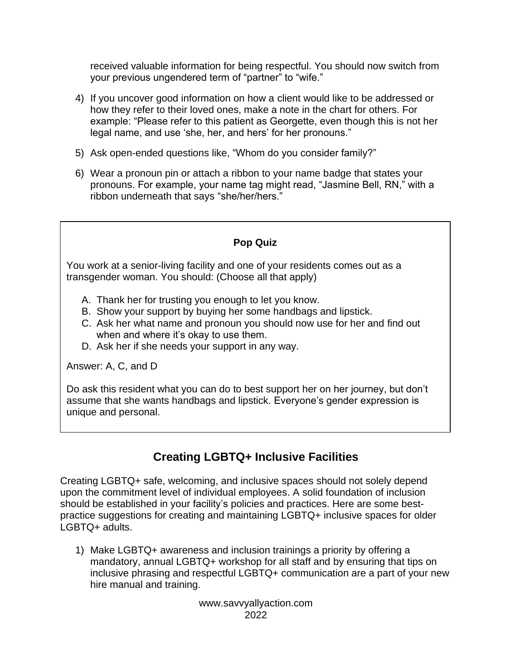received valuable information for being respectful. You should now switch from your previous ungendered term of "partner" to "wife."

- 4) If you uncover good information on how a client would like to be addressed or how they refer to their loved ones, make a note in the chart for others. For example: "Please refer to this patient as Georgette, even though this is not her legal name, and use 'she, her, and hers' for her pronouns."
- 5) Ask open-ended questions like, "Whom do you consider family?"
- 6) Wear a pronoun pin or attach a ribbon to your name badge that states your pronouns. For example, your name tag might read, "Jasmine Bell, RN," with a ribbon underneath that says "she/her/hers."

## **Pop Quiz**

You work at a senior-living facility and one of your residents comes out as a transgender woman. You should: (Choose all that apply)

- A. Thank her for trusting you enough to let you know.
- B. Show your support by buying her some handbags and lipstick.
- C. Ask her what name and pronoun you should now use for her and find out when and where it's okay to use them.
- D. Ask her if she needs your support in any way.

Answer: A, C, and D

Do ask this resident what you can do to best support her on her journey, but don't assume that she wants handbags and lipstick. Everyone's gender expression is unique and personal.

# **Creating LGBTQ+ Inclusive Facilities**

Creating LGBTQ+ safe, welcoming, and inclusive spaces should not solely depend upon the commitment level of individual employees. A solid foundation of inclusion should be established in your facility's policies and practices. Here are some bestpractice suggestions for creating and maintaining LGBTQ+ inclusive spaces for older LGBTQ+ adults.

1) Make LGBTQ+ awareness and inclusion trainings a priority by offering a mandatory, annual LGBTQ+ workshop for all staff and by ensuring that tips on inclusive phrasing and respectful LGBTQ+ communication are a part of your new hire manual and training.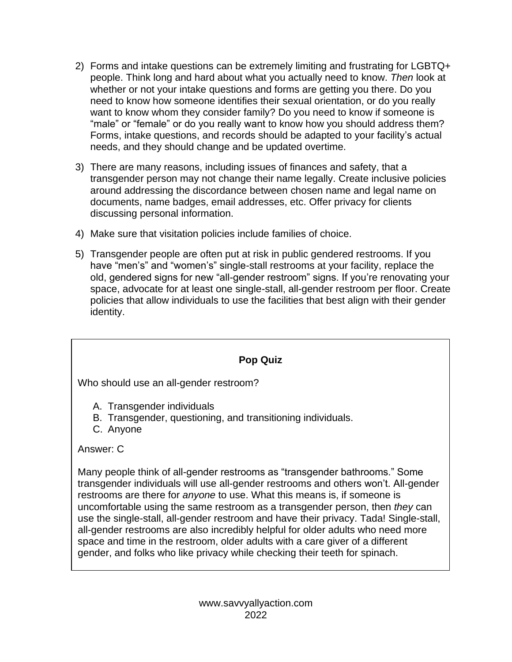- 2) Forms and intake questions can be extremely limiting and frustrating for LGBTQ+ people. Think long and hard about what you actually need to know. *Then* look at whether or not your intake questions and forms are getting you there. Do you need to know how someone identifies their sexual orientation, or do you really want to know whom they consider family? Do you need to know if someone is "male" or "female" or do you really want to know how you should address them? Forms, intake questions, and records should be adapted to your facility's actual needs, and they should change and be updated overtime.
- 3) There are many reasons, including issues of finances and safety, that a transgender person may not change their name legally. Create inclusive policies around addressing the discordance between chosen name and legal name on documents, name badges, email addresses, etc. Offer privacy for clients discussing personal information.
- 4) Make sure that visitation policies include families of choice.
- 5) Transgender people are often put at risk in public gendered restrooms. If you have "men's" and "women's" single-stall restrooms at your facility, replace the old, gendered signs for new "all-gender restroom" signs. If you're renovating your space, advocate for at least one single-stall, all-gender restroom per floor. Create policies that allow individuals to use the facilities that best align with their gender identity.

## **Pop Quiz**

Who should use an all-gender restroom?

- A. Transgender individuals
- B. Transgender, questioning, and transitioning individuals.
- C. Anyone

## Answer: C

Many people think of all-gender restrooms as "transgender bathrooms." Some transgender individuals will use all-gender restrooms and others won't. All-gender restrooms are there for *anyone* to use. What this means is, if someone is uncomfortable using the same restroom as a transgender person, then *they* can use the single-stall, all-gender restroom and have their privacy. Tada! Single-stall, all-gender restrooms are also incredibly helpful for older adults who need more space and time in the restroom, older adults with a care giver of a different gender, and folks who like privacy while checking their teeth for spinach.